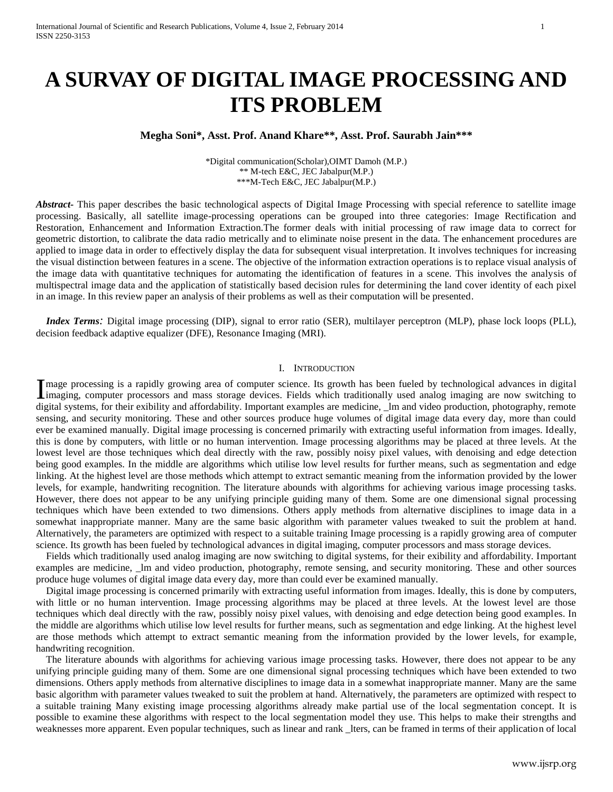# **A SURVAY OF DIGITAL IMAGE PROCESSING AND ITS PROBLEM**

**Megha Soni\*, Asst. Prof. Anand Khare\*\*, Asst. Prof. Saurabh Jain\*\*\***

\*Digital communication(Scholar),OIMT Damoh (M.P.) \*\* M-tech E&C, JEC Jabalpur(M.P.) \*\*\*M-Tech E&C, JEC Jabalpur(M.P.)

*Abstract***-** This paper describes the basic technological aspects of Digital Image Processing with special reference to satellite image processing. Basically, all satellite image-processing operations can be grouped into three categories: Image Rectification and Restoration, Enhancement and Information Extraction.The former deals with initial processing of raw image data to correct for geometric distortion, to calibrate the data radio metrically and to eliminate noise present in the data. The enhancement procedures are applied to image data in order to effectively display the data for subsequent visual interpretation. It involves techniques for increasing the visual distinction between features in a scene. The objective of the information extraction operations is to replace visual analysis of the image data with quantitative techniques for automating the identification of features in a scene. This involves the analysis of multispectral image data and the application of statistically based decision rules for determining the land cover identity of each pixel in an image. In this review paper an analysis of their problems as well as their computation will be presented.

 *Index Terms:* Digital image processing (DIP), signal to error ratio (SER), multilayer perceptron (MLP), phase lock loops (PLL), decision feedback adaptive equalizer (DFE), Resonance Imaging (MRI).

# I. INTRODUCTION

mage processing is a rapidly growing area of computer science. Its growth has been fueled by technological advances in digital Image processing is a rapidly growing area of computer science. Its growth has been fueled by technological advances in digital imaging, computer processors and mass storage devices. Fields which traditionally used analog digital systems, for their exibility and affordability. Important examples are medicine, lm and video production, photography, remote sensing, and security monitoring. These and other sources produce huge volumes of digital image data every day, more than could ever be examined manually. Digital image processing is concerned primarily with extracting useful information from images. Ideally, this is done by computers, with little or no human intervention. Image processing algorithms may be placed at three levels. At the lowest level are those techniques which deal directly with the raw, possibly noisy pixel values, with denoising and edge detection being good examples. In the middle are algorithms which utilise low level results for further means, such as segmentation and edge linking. At the highest level are those methods which attempt to extract semantic meaning from the information provided by the lower levels, for example, handwriting recognition. The literature abounds with algorithms for achieving various image processing tasks. However, there does not appear to be any unifying principle guiding many of them. Some are one dimensional signal processing techniques which have been extended to two dimensions. Others apply methods from alternative disciplines to image data in a somewhat inappropriate manner. Many are the same basic algorithm with parameter values tweaked to suit the problem at hand. Alternatively, the parameters are optimized with respect to a suitable training Image processing is a rapidly growing area of computer science. Its growth has been fueled by technological advances in digital imaging, computer processors and mass storage devices.

 Fields which traditionally used analog imaging are now switching to digital systems, for their exibility and affordability. Important examples are medicine, \_lm and video production, photography, remote sensing, and security monitoring. These and other sources produce huge volumes of digital image data every day, more than could ever be examined manually.

 Digital image processing is concerned primarily with extracting useful information from images. Ideally, this is done by computers, with little or no human intervention. Image processing algorithms may be placed at three levels. At the lowest level are those techniques which deal directly with the raw, possibly noisy pixel values, with denoising and edge detection being good examples. In the middle are algorithms which utilise low level results for further means, such as segmentation and edge linking. At the highest level are those methods which attempt to extract semantic meaning from the information provided by the lower levels, for example, handwriting recognition.

 The literature abounds with algorithms for achieving various image processing tasks. However, there does not appear to be any unifying principle guiding many of them. Some are one dimensional signal processing techniques which have been extended to two dimensions. Others apply methods from alternative disciplines to image data in a somewhat inappropriate manner. Many are the same basic algorithm with parameter values tweaked to suit the problem at hand. Alternatively, the parameters are optimized with respect to a suitable training Many existing image processing algorithms already make partial use of the local segmentation concept. It is possible to examine these algorithms with respect to the local segmentation model they use. This helps to make their strengths and weaknesses more apparent. Even popular techniques, such as linear and rank \_lters, can be framed in terms of their application of local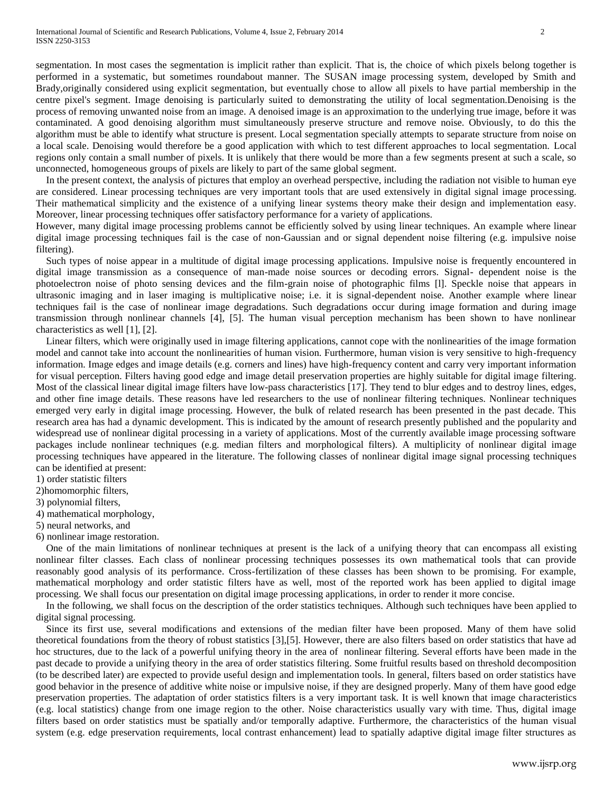segmentation. In most cases the segmentation is implicit rather than explicit. That is, the choice of which pixels belong together is performed in a systematic, but sometimes roundabout manner. The SUSAN image processing system, developed by Smith and Brady,originally considered using explicit segmentation, but eventually chose to allow all pixels to have partial membership in the centre pixel's segment. Image denoising is particularly suited to demonstrating the utility of local segmentation.Denoising is the process of removing unwanted noise from an image. A denoised image is an approximation to the underlying true image, before it was contaminated. A good denoising algorithm must simultaneously preserve structure and remove noise. Obviously, to do this the algorithm must be able to identify what structure is present. Local segmentation specially attempts to separate structure from noise on a local scale. Denoising would therefore be a good application with which to test different approaches to local segmentation. Local regions only contain a small number of pixels. It is unlikely that there would be more than a few segments present at such a scale, so unconnected, homogeneous groups of pixels are likely to part of the same global segment.

 In the present context, the analysis of pictures that employ an overhead perspective, including the radiation not visible to human eye are considered. Linear processing techniques are very important tools that are used extensively in digital signal image processing. Their mathematical simplicity and the existence of a unifying linear systems theory make their design and implementation easy. Moreover, linear processing techniques offer satisfactory performance for a variety of applications.

However, many digital image processing problems cannot be efficiently solved by using linear techniques. An example where linear digital image processing techniques fail is the case of non-Gaussian and or signal dependent noise filtering (e.g. impulsive noise filtering).

 Such types of noise appear in a multitude of digital image processing applications. Impulsive noise is frequently encountered in digital image transmission as a consequence of man-made noise sources or decoding errors. Signal- dependent noise is the photoelectron noise of photo sensing devices and the film-grain noise of photographic films [l]. Speckle noise that appears in ultrasonic imaging and in laser imaging is multiplicative noise; i.e. it is signal-dependent noise. Another example where linear techniques fail is the case of nonlinear image degradations. Such degradations occur during image formation and during image transmission through nonlinear channels [4], [5]. The human visual perception mechanism has been shown to have nonlinear characteristics as well [1], [2].

 Linear filters, which were originally used in image filtering applications, cannot cope with the nonlinearities of the image formation model and cannot take into account the nonlinearities of human vision. Furthermore, human vision is very sensitive to high-frequency information. Image edges and image details (e.g. corners and lines) have high-frequency content and carry very important information for visual perception. Filters having good edge and image detail preservation properties are highly suitable for digital image filtering. Most of the classical linear digital image filters have low-pass characteristics [17]. They tend to blur edges and to destroy lines, edges, and other fine image details. These reasons have led researchers to the use of nonlinear filtering techniques. Nonlinear techniques emerged very early in digital image processing. However, the bulk of related research has been presented in the past decade. This research area has had a dynamic development. This is indicated by the amount of research presently published and the popularity and widespread use of nonlinear digital processing in a variety of applications. Most of the currently available image processing software packages include nonlinear techniques (e.g. median filters and morphological filters). A multiplicity of nonlinear digital image processing techniques have appeared in the literature. The following classes of nonlinear digital image signal processing techniques can be identified at present:

- 1) order statistic filters
- 2)homomorphic filters,
- 3) polynomial filters,
- 4) mathematical morphology,
- 5) neural networks, and
- 6) nonlinear image restoration.

 One of the main limitations of nonlinear techniques at present is the lack of a unifying theory that can encompass all existing nonlinear filter classes. Each class of nonlinear processing techniques possesses its own mathematical tools that can provide reasonably good analysis of its performance. Cross-fertilization of these classes has been shown to be promising. For example, mathematical morphology and order statistic filters have as well, most of the reported work has been applied to digital image processing. We shall focus our presentation on digital image processing applications, in order to render it more concise.

 In the following, we shall focus on the description of the order statistics techniques. Although such techniques have been applied to digital signal processing.

 Since its first use, several modifications and extensions of the median filter have been proposed. Many of them have solid theoretical foundations from the theory of robust statistics [3],[5]. However, there are also filters based on order statistics that have ad hoc structures, due to the lack of a powerful unifying theory in the area of nonlinear filtering. Several efforts have been made in the past decade to provide a unifying theory in the area of order statistics filtering. Some fruitful results based on threshold decomposition (to be described later) are expected to provide useful design and implementation tools. In general, filters based on order statistics have good behavior in the presence of additive white noise or impulsive noise, if they are designed properly. Many of them have good edge preservation properties. The adaptation of order statistics filters is a very important task. It is well known that image characteristics (e.g. local statistics) change from one image region to the other. Noise characteristics usually vary with time. Thus, digital image filters based on order statistics must be spatially and/or temporally adaptive. Furthermore, the characteristics of the human visual system (e.g. edge preservation requirements, local contrast enhancement) lead to spatially adaptive digital image filter structures as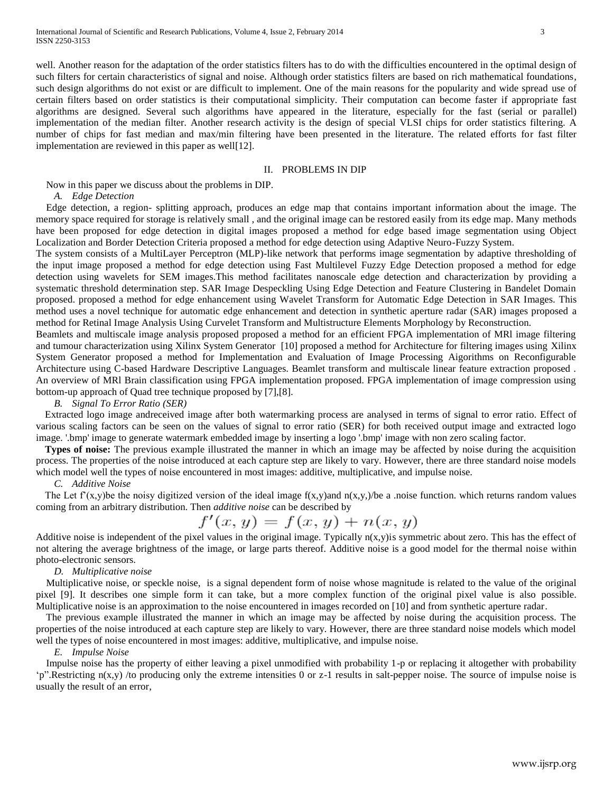well. Another reason for the adaptation of the order statistics filters has to do with the difficulties encountered in the optimal design of such filters for certain characteristics of signal and noise. Although order statistics filters are based on rich mathematical foundations, such design algorithms do not exist or are difficult to implement. One of the main reasons for the popularity and wide spread use of certain filters based on order statistics is their computational simplicity. Their computation can become faster if appropriate fast algorithms are designed. Several such algorithms have appeared in the literature, especially for the fast (serial or parallel) implementation of the median filter. Another research activity is the design of special VLSI chips for order statistics filtering. A number of chips for fast median and max/min filtering have been presented in the literature. The related efforts for fast filter implementation are reviewed in this paper as well[12].

## II. PROBLEMS IN DIP

Now in this paper we discuss about the problems in DIP.

#### *A. Edge Detection*

 Edge detection, a region- splitting approach, produces an edge map that contains important information about the image. The memory space required for storage is relatively small , and the original image can be restored easily from its edge map. Many methods have been proposed for edge detection in digital images proposed a method for edge based image segmentation using Object Localization and Border Detection Criteria proposed a method for edge detection using Adaptive Neuro-Fuzzy System.

The system consists of a MultiLayer Perceptron (MLP)-like network that performs image segmentation by adaptive thresholding of the input image proposed a method for edge detection using Fast Multilevel Fuzzy Edge Detection proposed a method for edge detection using wavelets for SEM images.This method facilitates nanoscale edge detection and characterization by providing a systematic threshold determination step. SAR Image Despeckling Using Edge Detection and Feature Clustering in Bandelet Domain proposed. proposed a method for edge enhancement using Wavelet Transform for Automatic Edge Detection in SAR Images. This method uses a novel technique for automatic edge enhancement and detection in synthetic aperture radar (SAR) images proposed a method for Retinal Image Analysis Using Curvelet Transform and Multistructure Elements Morphology by Reconstruction.

Beamlets and multiscale image analysis proposed proposed a method for an efficient FPGA implementation of MRl image filtering and tumour characterization using Xilinx System Generator [10] proposed a method for Architecture for filtering images using Xilinx System Generator proposed a method for Implementation and Evaluation of Image Processing Aigorithms on Reconfigurable Architecture using C-based Hardware Descriptive Languages. Beamlet transform and multiscale linear feature extraction proposed . An overview of MRl Brain classification using FPGA implementation proposed. FPGA implementation of image compression using bottom-up approach of Quad tree technique proposed by [7],[8].

## *B. Signal To Error Ratio (SER)*

Extracted logo image andreceived image after both watermarking process are analysed in terms of signal to error ratio. Effect of various scaling factors can be seen on the values of signal to error ratio (SER) for both received output image and extracted logo image. '.bmp' image to generate watermark embedded image by inserting a logo '.bmp' image with non zero scaling factor.

**Types of noise:** The previous example illustrated the manner in which an image may be affected by noise during the acquisition process. The properties of the noise introduced at each capture step are likely to vary. However, there are three standard noise models which model well the types of noise encountered in most images: additive, multiplicative, and impulse noise.

## *C. Additive Noise*

The Let  $f'(x,y)$  be the noisy digitized version of the ideal image  $f(x,y)$  and  $n(x,y)/$  be a .noise function. which returns random values coming from an arbitrary distribution. Then *additive noise* can be described by

$$
f'(x, y) = f(x, y) + n(x, y)
$$

Additive noise is independent of the pixel values in the original image. Typically  $n(x,y)$  is symmetric about zero. This has the effect of not altering the average brightness of the image, or large parts thereof. Additive noise is a good model for the thermal noise within photo-electronic sensors.

## *D. Multiplicative noise*

 Multiplicative noise, or speckle noise, is a signal dependent form of noise whose magnitude is related to the value of the original pixel [9]. It describes one simple form it can take, but a more complex function of the original pixel value is also possible. Multiplicative noise is an approximation to the noise encountered in images recorded on [10] and from synthetic aperture radar.

 The previous example illustrated the manner in which an image may be affected by noise during the acquisition process. The properties of the noise introduced at each capture step are likely to vary. However, there are three standard noise models which model well the types of noise encountered in most images: additive, multiplicative, and impulse noise.

#### *E. Impulse Noise*

 Impulse noise has the property of either leaving a pixel unmodified with probability 1-p or replacing it altogether with probability  $p''$ .Restricting  $n(x,y)$  /to producing only the extreme intensities 0 or z-1 results in salt-pepper noise. The source of impulse noise is usually the result of an error,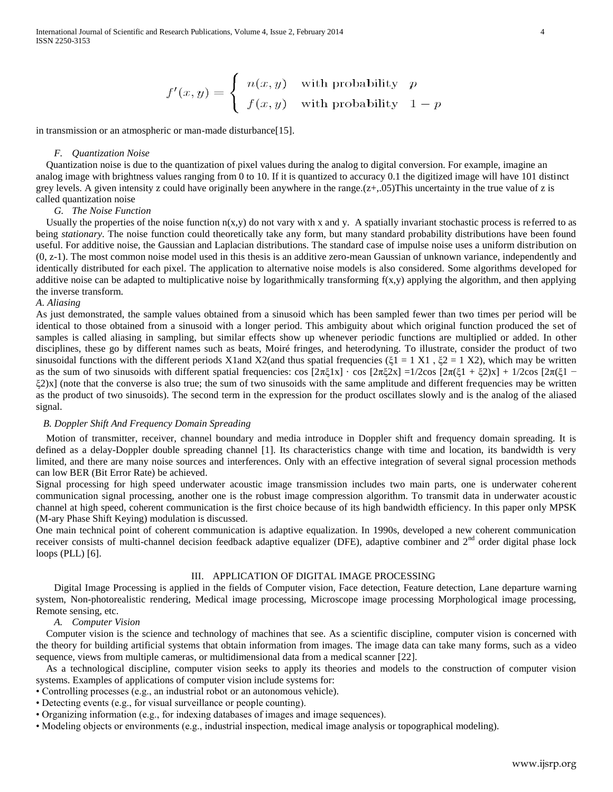$$
f'(x, y) = \begin{cases} n(x, y) & \text{with probability} \quad p \\ f(x, y) & \text{with probability} \quad 1 - p \end{cases}
$$

in transmission or an atmospheric or man-made disturbance[15].

#### *F. Quantization Noise*

 Quantization noise is due to the quantization of pixel values during the analog to digital conversion. For example, imagine an analog image with brightness values ranging from 0 to 10. If it is quantized to accuracy 0.1 the digitized image will have 101 distinct grey levels. A given intensity z could have originally been anywhere in the range. $(z+,0.5)$ This uncertainty in the true value of z is called quantization noise

#### *G. The Noise Function*

Usually the properties of the noise function  $n(x,y)$  do not vary with x and y. A spatially invariant stochastic process is referred to as being *stationary*. The noise function could theoretically take any form, but many standard probability distributions have been found useful. For additive noise, the Gaussian and Laplacian distributions. The standard case of impulse noise uses a uniform distribution on (0, z-1). The most common noise model used in this thesis is an additive zero-mean Gaussian of unknown variance, independently and identically distributed for each pixel. The application to alternative noise models is also considered. Some algorithms developed for additive noise can be adapted to multiplicative noise by logarithmically transforming  $f(x,y)$  applying the algorithm, and then applying the inverse transform.

## *A. Aliasing*

As just demonstrated, the sample values obtained from a sinusoid which has been sampled fewer than two times per period will be identical to those obtained from a sinusoid with a longer period. This ambiguity about which original function produced the set of samples is called aliasing in sampling, but similar effects show up whenever periodic functions are multiplied or added. In other disciplines, these go by different names such as beats, Moiré fringes, and heterodyning. To illustrate, consider the product of two sinusoidal functions with the different periods X1and X2(and thus spatial frequencies ( $\xi$ 1 = 1 X1,  $\xi$ 2 = 1 X2), which may be written as the sum of two sinusoids with different spatial frequencies: cos  $[2\pi\xi 1x] \cdot \cos [2\pi\xi 2x] = 1/2\cos [2\pi(\xi 1 + \xi 2)x] + 1/2\cos [2\pi(\xi 1 - \xi 2)]$ ξ2)x] (note that the converse is also true; the sum of two sinusoids with the same amplitude and different frequencies may be written as the product of two sinusoids). The second term in the expression for the product oscillates slowly and is the analog of the aliased signal.

## *B. Doppler Shift And Frequency Domain Spreading*

 Motion of transmitter, receiver, channel boundary and media introduce in Doppler shift and frequency domain spreading. It is defined as a delay-Doppler double spreading channel [1]. Its characteristics change with time and location, its bandwidth is very limited, and there are many noise sources and interferences. Only with an effective integration of several signal procession methods can low BER (Bit Error Rate) be achieved.

Signal processing for high speed underwater acoustic image transmission includes two main parts, one is underwater coherent communication signal processing, another one is the robust image compression algorithm. To transmit data in underwater acoustic channel at high speed, coherent communication is the first choice because of its high bandwidth efficiency. In this paper only MPSK (M-ary Phase Shift Keying) modulation is discussed.

One main technical point of coherent communication is adaptive equalization. In 1990s, developed a new coherent communication receiver consists of multi-channel decision feedback adaptive equalizer (DFE), adaptive combiner and  $2<sup>nd</sup>$  order digital phase lock loops (PLL) [6].

## III. APPLICATION OF DIGITAL IMAGE PROCESSING

Digital Image Processing is applied in the fields of Computer vision, Face detection, Feature detection, Lane departure warning system, Non-photorealistic rendering, Medical image processing, Microscope image processing Morphological image processing, Remote sensing, etc.

## *A. Computer Vision*

 Computer vision is the science and technology of machines that see. As a scientific discipline, computer vision is concerned with the theory for building artificial systems that obtain information from images. The image data can take many forms, such as a video sequence, views from multiple cameras, or multidimensional data from a medical scanner [22].

 As a technological discipline, computer vision seeks to apply its theories and models to the construction of computer vision systems. Examples of applications of computer vision include systems for:

• Controlling processes (e.g., an industrial robot or an autonomous vehicle).

• Detecting events (e.g., for visual surveillance or people counting).

• Organizing information (e.g., for indexing databases of images and image sequences).

• Modeling objects or environments (e.g., industrial inspection, medical image analysis or topographical modeling).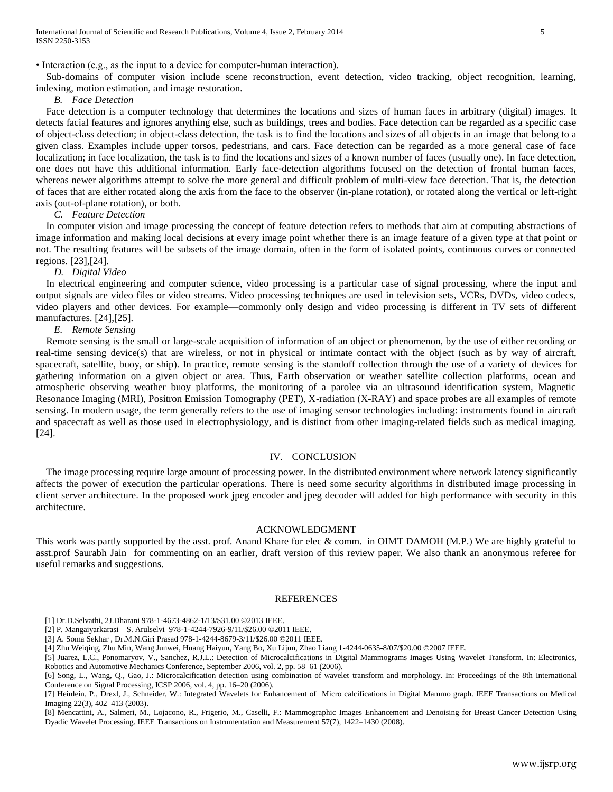#### • Interaction (e.g., as the input to a device for computer-human interaction).

 Sub-domains of computer vision include scene reconstruction, event detection, video tracking, object recognition, learning, indexing, motion estimation, and image restoration.

## *B. Face Detection*

 Face detection is a computer technology that determines the locations and sizes of human faces in arbitrary (digital) images. It detects facial features and ignores anything else, such as buildings, trees and bodies. Face detection can be regarded as a specific case of object-class detection; in object-class detection, the task is to find the locations and sizes of all objects in an image that belong to a given class. Examples include upper torsos, pedestrians, and cars. Face detection can be regarded as a more general case of face localization; in face localization, the task is to find the locations and sizes of a known number of faces (usually one). In face detection, one does not have this additional information. Early face-detection algorithms focused on the detection of frontal human faces, whereas newer algorithms attempt to solve the more general and difficult problem of multi-view face detection. That is, the detection of faces that are either rotated along the axis from the face to the observer (in-plane rotation), or rotated along the vertical or left-right axis (out-of-plane rotation), or both.

## *C. Feature Detection*

 In computer vision and image processing the concept of feature detection refers to methods that aim at computing abstractions of image information and making local decisions at every image point whether there is an image feature of a given type at that point or not. The resulting features will be subsets of the image domain, often in the form of isolated points, continuous curves or connected regions. [23],[24].

#### *D. Digital Video*

 In electrical engineering and computer science, video processing is a particular case of signal processing, where the input and output signals are video files or video streams. Video processing techniques are used in television sets, VCRs, DVDs, video codecs, video players and other devices. For example—commonly only design and video processing is different in TV sets of different manufactures. [24],[25].

## *E. Remote Sensing*

 Remote sensing is the small or large-scale acquisition of information of an object or phenomenon, by the use of either recording or real-time sensing device(s) that are wireless, or not in physical or intimate contact with the object (such as by way of aircraft, spacecraft, satellite, buoy, or ship). In practice, remote sensing is the standoff collection through the use of a variety of devices for gathering information on a given object or area. Thus, Earth observation or weather satellite collection platforms, ocean and atmospheric observing weather buoy platforms, the monitoring of a parolee via an ultrasound identification system, Magnetic Resonance Imaging (MRI), Positron Emission Tomography (PET), X-radiation (X-RAY) and space probes are all examples of remote sensing. In modern usage, the term generally refers to the use of imaging sensor technologies including: instruments found in aircraft and spacecraft as well as those used in electrophysiology, and is distinct from other imaging-related fields such as medical imaging. [24].

## IV. CONCLUSION

 The image processing require large amount of processing power. In the distributed environment where network latency significantly affects the power of execution the particular operations. There is need some security algorithms in distributed image processing in client server architecture. In the proposed work jpeg encoder and jpeg decoder will added for high performance with security in this architecture.

#### ACKNOWLEDGMENT

This work was partly supported by the asst. prof. Anand Khare for elec & comm. in OIMT DAMOH (M.P.) We are highly grateful to asst.prof Saurabh Jain for commenting on an earlier, draft version of this review paper. We also thank an anonymous referee for useful remarks and suggestions.

#### REFERENCES

- [1] Dr.D.Selvathi, 2J.Dharani 978-1-4673-4862-1/13/\$31.00 ©2013 IEEE.
- [2] P. Mangaiyarkarasi S. Arulselvi 978-1-4244-7926-9/11/\$26.00 ©2011 IEEE.
- [3] A. Soma Sekhar , Dr.M.N.Giri Prasad 978-1-4244-8679-3/11/\$26.00 ©2011 IEEE.
- [4] Zhu Weiqing, Zhu Min, Wang Junwei, Huang Haiyun, Yang Bo, Xu Lijun, Zhao Liang 1-4244-0635-8/07/\$20.00 ©2007 IEEE.
- [5] Juarez, L.C., Ponomaryov, V., Sanchez, R.J.L.: Detection of Microcalcifications in Digital Mammograms Images Using Wavelet Transform. In: Electronics, Robotics and Automotive Mechanics Conference, September 2006, vol. 2, pp. 58–61 (2006).

[6] Song, L., Wang, Q., Gao, J.: Microcalcification detection using combination of wavelet transform and morphology. In: Proceedings of the 8th International Conference on Signal Processing, ICSP 2006, vol. 4, pp. 16–20 (2006).

[7] Heinlein, P., Drexl, J., Schneider, W.: Integrated Wavelets for Enhancement of Micro calcifications in Digital Mammo graph. IEEE Transactions on Medical Imaging 22(3), 402–413 (2003).

[8] Mencattini, A., Salmeri, M., Lojacono, R., Frigerio, M., Caselli, F.: Mammographic Images Enhancement and Denoising for Breast Cancer Detection Using Dyadic Wavelet Processing. IEEE Transactions on Instrumentation and Measurement 57(7), 1422–1430 (2008).